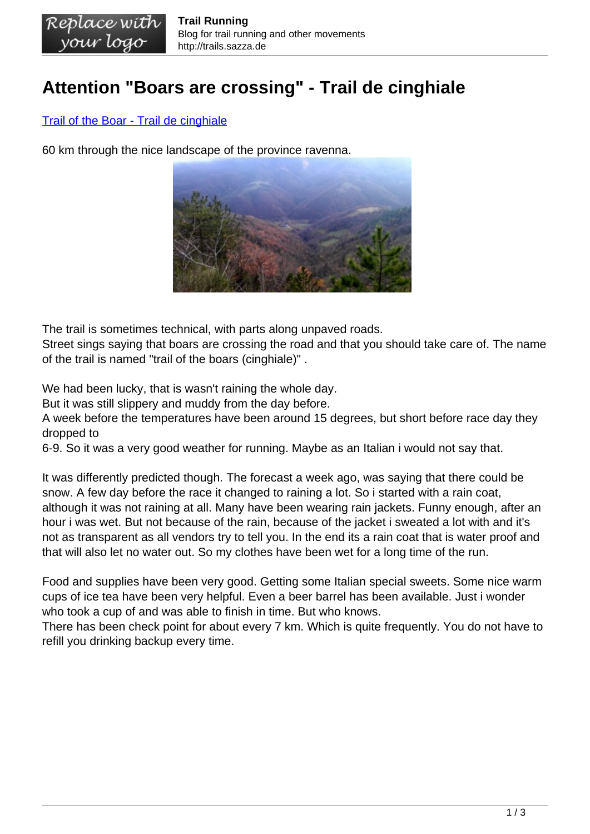## **Attention "Boars are crossing" - Trail de cinghiale**

## [Trail of the Boar - Trail de cinghiale](http://www.terzotempotrail.com/reogolamento)

60 km through the nice landscape of the province ravenna.



The trail is sometimes technical, with parts along unpaved roads.

Street sings saying that boars are crossing the road and that you should take care of. The name of the trail is named "trail of the boars (cinghiale)" .

We had been lucky, that is wasn't raining the whole day.

But it was still slippery and muddy from the day before.

A week before the temperatures have been around 15 degrees, but short before race day they dropped to

6-9. So it was a very good weather for running. Maybe as an Italian i would not say that.

It was differently predicted though. The forecast a week ago, was saying that there could be snow. A few day before the race it changed to raining a lot. So i started with a rain coat, although it was not raining at all. Many have been wearing rain jackets. Funny enough, after an hour i was wet. But not because of the rain, because of the jacket i sweated a lot with and it's not as transparent as all vendors try to tell you. In the end its a rain coat that is water proof and that will also let no water out. So my clothes have been wet for a long time of the run.

Food and supplies have been very good. Getting some Italian special sweets. Some nice warm cups of ice tea have been very helpful. Even a beer barrel has been available. Just i wonder who took a cup of and was able to finish in time. But who knows.

There has been check point for about every 7 km. Which is quite frequently. You do not have to refill you drinking backup every time.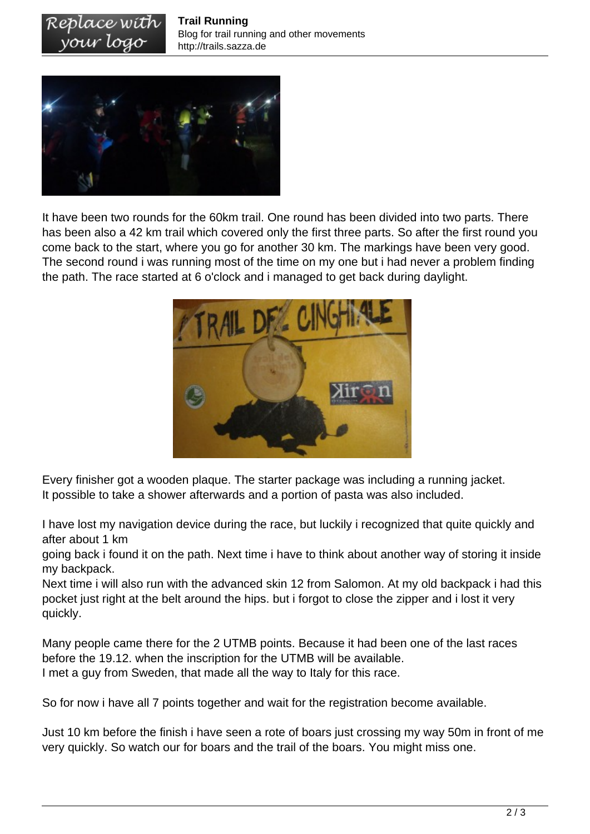

vour logo

It have been two rounds for the 60km trail. One round has been divided into two parts. There has been also a 42 km trail which covered only the first three parts. So after the first round you come back to the start, where you go for another 30 km. The markings have been very good. The second round i was running most of the time on my one but i had never a problem finding the path. The race started at 6 o'clock and i managed to get back during daylight.



Every finisher got a wooden plaque. The starter package was including a running jacket. It possible to take a shower afterwards and a portion of pasta was also included.

I have lost my navigation device during the race, but luckily i recognized that quite quickly and after about 1 km

going back i found it on the path. Next time i have to think about another way of storing it inside my backpack.

Next time i will also run with the advanced skin 12 from Salomon. At my old backpack i had this pocket just right at the belt around the hips. but i forgot to close the zipper and i lost it very quickly.

Many people came there for the 2 UTMB points. Because it had been one of the last races before the 19.12. when the inscription for the UTMB will be available. I met a guy from Sweden, that made all the way to Italy for this race.

So for now i have all 7 points together and wait for the registration become available.

Just 10 km before the finish i have seen a rote of boars just crossing my way 50m in front of me very quickly. So watch our for boars and the trail of the boars. You might miss one.